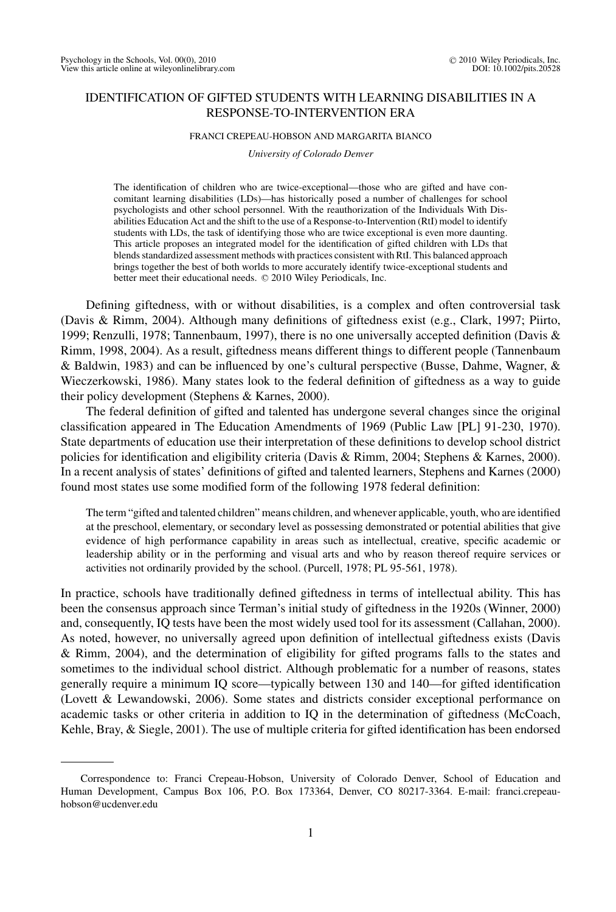# IDENTIFICATION OF GIFTED STUDENTS WITH LEARNING DISABILITIES IN A RESPONSE-TO-INTERVENTION ERA

#### FRANCI CREPEAU-HOBSON AND MARGARITA BIANCO

*University of Colorado Denver*

The identification of children who are twice-exceptional—those who are gifted and have concomitant learning disabilities (LDs)—has historically posed a number of challenges for school psychologists and other school personnel. With the reauthorization of the Individuals With Disabilities Education Act and the shift to the use of a Response-to-Intervention (RtI) model to identify students with LDs, the task of identifying those who are twice exceptional is even more daunting. This article proposes an integrated model for the identification of gifted children with LDs that blends standardized assessment methods with practices consistent with RtI. This balanced approach brings together the best of both worlds to more accurately identify twice-exceptional students and better meet their educational needs.  $\oslash$  2010 Wiley Periodicals, Inc.

Defining giftedness, with or without disabilities, is a complex and often controversial task (Davis & Rimm, 2004). Although many definitions of giftedness exist (e.g., Clark, 1997; Piirto, 1999; Renzulli, 1978; Tannenbaum, 1997), there is no one universally accepted definition (Davis  $\&$ Rimm, 1998, 2004). As a result, giftedness means different things to different people (Tannenbaum & Baldwin, 1983) and can be influenced by one's cultural perspective (Busse, Dahme, Wagner, & Wieczerkowski, 1986). Many states look to the federal definition of giftedness as a way to guide their policy development (Stephens & Karnes, 2000).

The federal definition of gifted and talented has undergone several changes since the original classification appeared in The Education Amendments of 1969 (Public Law [PL] 91-230, 1970). State departments of education use their interpretation of these definitions to develop school district policies for identification and eligibility criteria (Davis & Rimm, 2004; Stephens & Karnes, 2000). In a recent analysis of states' definitions of gifted and talented learners, Stephens and Karnes (2000) found most states use some modified form of the following 1978 federal definition:

The term "gifted and talented children" means children, and whenever applicable, youth, who are identified at the preschool, elementary, or secondary level as possessing demonstrated or potential abilities that give evidence of high performance capability in areas such as intellectual, creative, specific academic or leadership ability or in the performing and visual arts and who by reason thereof require services or activities not ordinarily provided by the school. (Purcell, 1978; PL 95-561, 1978).

In practice, schools have traditionally defined giftedness in terms of intellectual ability. This has been the consensus approach since Terman's initial study of giftedness in the 1920s (Winner, 2000) and, consequently, IQ tests have been the most widely used tool for its assessment (Callahan, 2000). As noted, however, no universally agreed upon definition of intellectual giftedness exists (Davis & Rimm, 2004), and the determination of eligibility for gifted programs falls to the states and sometimes to the individual school district. Although problematic for a number of reasons, states generally require a minimum IQ score—typically between 130 and 140—for gifted identification (Lovett & Lewandowski, 2006). Some states and districts consider exceptional performance on academic tasks or other criteria in addition to IQ in the determination of giftedness (McCoach, Kehle, Bray, & Siegle, 2001). The use of multiple criteria for gifted identification has been endorsed

Correspondence to: Franci Crepeau-Hobson, University of Colorado Denver, School of Education and Human Development, Campus Box 106, P.O. Box 173364, Denver, CO 80217-3364. E-mail: franci.crepeauhobson@ucdenver.edu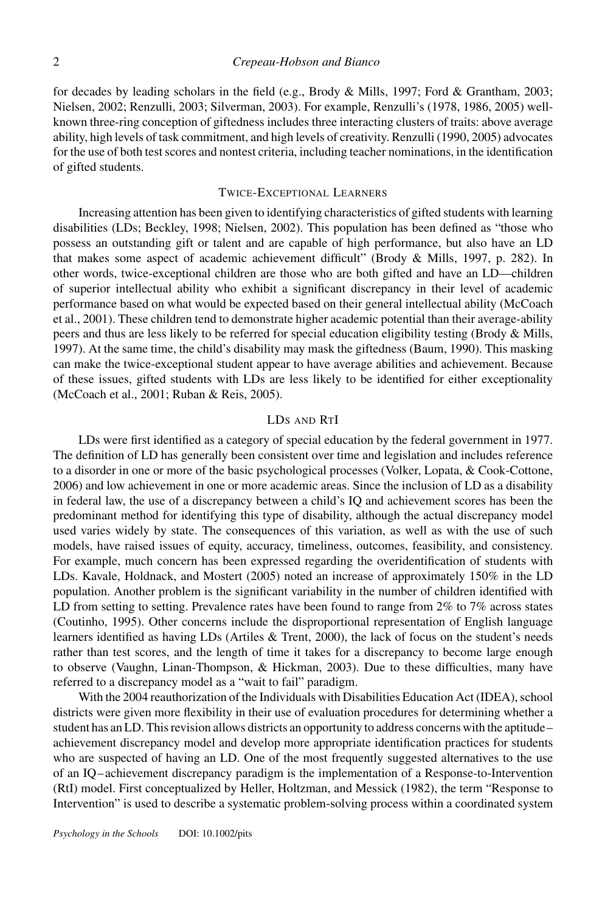for decades by leading scholars in the field (e.g., Brody & Mills, 1997; Ford & Grantham, 2003; Nielsen, 2002; Renzulli, 2003; Silverman, 2003). For example, Renzulli's (1978, 1986, 2005) wellknown three-ring conception of giftedness includes three interacting clusters of traits: above average ability, high levels of task commitment, and high levels of creativity. Renzulli (1990, 2005) advocates for the use of both test scores and nontest criteria, including teacher nominations, in the identification of gifted students.

# TWICE-EXCEPTIONAL LEARNERS

Increasing attention has been given to identifying characteristics of gifted students with learning disabilities (LDs; Beckley, 1998; Nielsen, 2002). This population has been defined as "those who possess an outstanding gift or talent and are capable of high performance, but also have an LD that makes some aspect of academic achievement difficult" (Brody & Mills, 1997, p. 282). In other words, twice-exceptional children are those who are both gifted and have an LD—children of superior intellectual ability who exhibit a significant discrepancy in their level of academic performance based on what would be expected based on their general intellectual ability (McCoach et al., 2001). These children tend to demonstrate higher academic potential than their average-ability peers and thus are less likely to be referred for special education eligibility testing (Brody & Mills, 1997). At the same time, the child's disability may mask the giftedness (Baum, 1990). This masking can make the twice-exceptional student appear to have average abilities and achievement. Because of these issues, gifted students with LDs are less likely to be identified for either exceptionality (McCoach et al., 2001; Ruban & Reis, 2005).

### LDS AND RTI

LDs were first identified as a category of special education by the federal government in 1977. The definition of LD has generally been consistent over time and legislation and includes reference to a disorder in one or more of the basic psychological processes (Volker, Lopata, & Cook-Cottone, 2006) and low achievement in one or more academic areas. Since the inclusion of LD as a disability in federal law, the use of a discrepancy between a child's IQ and achievement scores has been the predominant method for identifying this type of disability, although the actual discrepancy model used varies widely by state. The consequences of this variation, as well as with the use of such models, have raised issues of equity, accuracy, timeliness, outcomes, feasibility, and consistency. For example, much concern has been expressed regarding the overidentification of students with LDs. Kavale, Holdnack, and Mostert (2005) noted an increase of approximately 150% in the LD population. Another problem is the significant variability in the number of children identified with LD from setting to setting. Prevalence rates have been found to range from 2% to 7% across states (Coutinho, 1995). Other concerns include the disproportional representation of English language learners identified as having LDs (Artiles & Trent, 2000), the lack of focus on the student's needs rather than test scores, and the length of time it takes for a discrepancy to become large enough to observe (Vaughn, Linan-Thompson, & Hickman, 2003). Due to these difficulties, many have referred to a discrepancy model as a "wait to fail" paradigm.

With the 2004 reauthorization of the Individuals with Disabilities Education Act (IDEA), school districts were given more flexibility in their use of evaluation procedures for determining whether a student has an LD. This revision allows districts an opportunity to address concerns with the aptitude– achievement discrepancy model and develop more appropriate identification practices for students who are suspected of having an LD. One of the most frequently suggested alternatives to the use of an IQ –achievement discrepancy paradigm is the implementation of a Response-to-Intervention (RtI) model. First conceptualized by Heller, Holtzman, and Messick (1982), the term "Response to Intervention" is used to describe a systematic problem-solving process within a coordinated system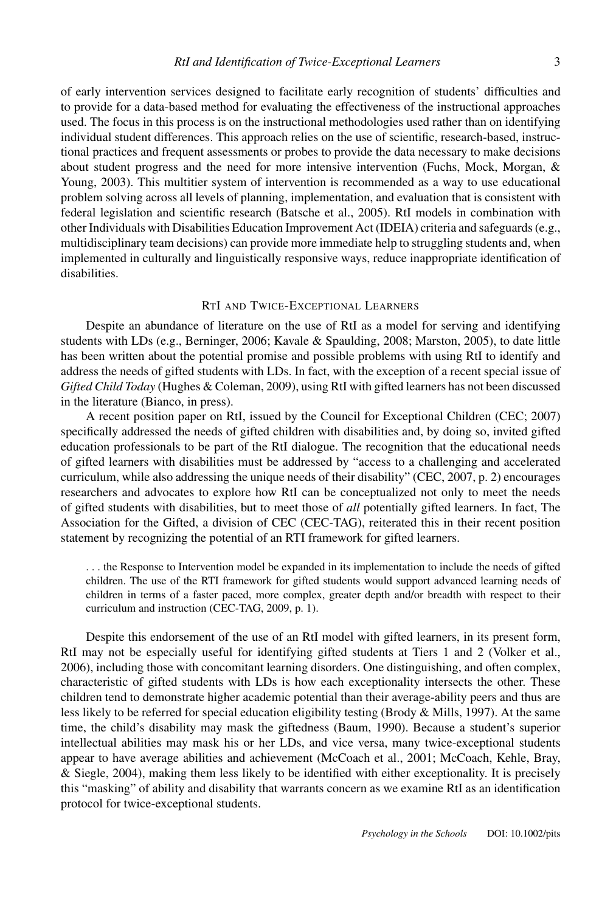of early intervention services designed to facilitate early recognition of students' difficulties and to provide for a data-based method for evaluating the effectiveness of the instructional approaches used. The focus in this process is on the instructional methodologies used rather than on identifying individual student differences. This approach relies on the use of scientific, research-based, instructional practices and frequent assessments or probes to provide the data necessary to make decisions about student progress and the need for more intensive intervention (Fuchs, Mock, Morgan, & Young, 2003). This multitier system of intervention is recommended as a way to use educational problem solving across all levels of planning, implementation, and evaluation that is consistent with federal legislation and scientific research (Batsche et al., 2005). RtI models in combination with other Individuals with Disabilities Education Improvement Act (IDEIA) criteria and safeguards (e.g., multidisciplinary team decisions) can provide more immediate help to struggling students and, when implemented in culturally and linguistically responsive ways, reduce inappropriate identification of disabilities.

# RTI AND TWICE-EXCEPTIONAL LEARNERS

Despite an abundance of literature on the use of RtI as a model for serving and identifying students with LDs (e.g., Berninger, 2006; Kavale & Spaulding, 2008; Marston, 2005), to date little has been written about the potential promise and possible problems with using RtI to identify and address the needs of gifted students with LDs. In fact, with the exception of a recent special issue of *Gifted Child Today* (Hughes & Coleman, 2009), using RtI with gifted learners has not been discussed in the literature (Bianco, in press).

A recent position paper on RtI, issued by the Council for Exceptional Children (CEC; 2007) specifically addressed the needs of gifted children with disabilities and, by doing so, invited gifted education professionals to be part of the RtI dialogue. The recognition that the educational needs of gifted learners with disabilities must be addressed by "access to a challenging and accelerated curriculum, while also addressing the unique needs of their disability" (CEC, 2007, p. 2) encourages researchers and advocates to explore how RtI can be conceptualized not only to meet the needs of gifted students with disabilities, but to meet those of *all* potentially gifted learners. In fact, The Association for the Gifted, a division of CEC (CEC-TAG), reiterated this in their recent position statement by recognizing the potential of an RTI framework for gifted learners.

. . . the Response to Intervention model be expanded in its implementation to include the needs of gifted children. The use of the RTI framework for gifted students would support advanced learning needs of children in terms of a faster paced, more complex, greater depth and/or breadth with respect to their curriculum and instruction (CEC-TAG, 2009, p. 1).

Despite this endorsement of the use of an RtI model with gifted learners, in its present form, RtI may not be especially useful for identifying gifted students at Tiers 1 and 2 (Volker et al., 2006), including those with concomitant learning disorders. One distinguishing, and often complex, characteristic of gifted students with LDs is how each exceptionality intersects the other. These children tend to demonstrate higher academic potential than their average-ability peers and thus are less likely to be referred for special education eligibility testing (Brody & Mills, 1997). At the same time, the child's disability may mask the giftedness (Baum, 1990). Because a student's superior intellectual abilities may mask his or her LDs, and vice versa, many twice-exceptional students appear to have average abilities and achievement (McCoach et al., 2001; McCoach, Kehle, Bray, & Siegle, 2004), making them less likely to be identified with either exceptionality. It is precisely this "masking" of ability and disability that warrants concern as we examine RtI as an identification protocol for twice-exceptional students.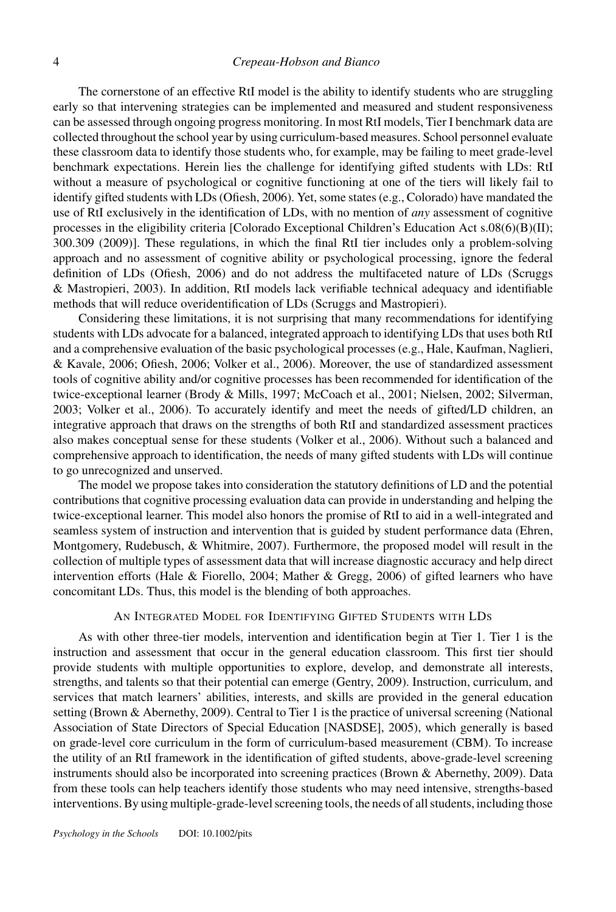#### 4 *Crepeau-Hobson and Bianco*

The cornerstone of an effective RtI model is the ability to identify students who are struggling early so that intervening strategies can be implemented and measured and student responsiveness can be assessed through ongoing progress monitoring. In most RtI models, Tier I benchmark data are collected throughout the school year by using curriculum-based measures. School personnel evaluate these classroom data to identify those students who, for example, may be failing to meet grade-level benchmark expectations. Herein lies the challenge for identifying gifted students with LDs: RtI without a measure of psychological or cognitive functioning at one of the tiers will likely fail to identify gifted students with LDs (Ofiesh, 2006). Yet, some states (e.g., Colorado) have mandated the use of RtI exclusively in the identification of LDs, with no mention of *any* assessment of cognitive processes in the eligibility criteria [Colorado Exceptional Children's Education Act s.08(6)(B)(II); 300.309 (2009)]. These regulations, in which the final RtI tier includes only a problem-solving approach and no assessment of cognitive ability or psychological processing, ignore the federal definition of LDs (Ofiesh, 2006) and do not address the multifaceted nature of LDs (Scruggs & Mastropieri, 2003). In addition, RtI models lack verifiable technical adequacy and identifiable methods that will reduce overidentification of LDs (Scruggs and Mastropieri).

Considering these limitations, it is not surprising that many recommendations for identifying students with LDs advocate for a balanced, integrated approach to identifying LDs that uses both RtI and a comprehensive evaluation of the basic psychological processes (e.g., Hale, Kaufman, Naglieri, & Kavale, 2006; Ofiesh, 2006; Volker et al., 2006). Moreover, the use of standardized assessment tools of cognitive ability and/or cognitive processes has been recommended for identification of the twice-exceptional learner (Brody & Mills, 1997; McCoach et al., 2001; Nielsen, 2002; Silverman, 2003; Volker et al., 2006). To accurately identify and meet the needs of gifted/LD children, an integrative approach that draws on the strengths of both RtI and standardized assessment practices also makes conceptual sense for these students (Volker et al., 2006). Without such a balanced and comprehensive approach to identification, the needs of many gifted students with LDs will continue to go unrecognized and unserved.

The model we propose takes into consideration the statutory definitions of LD and the potential contributions that cognitive processing evaluation data can provide in understanding and helping the twice-exceptional learner. This model also honors the promise of RtI to aid in a well-integrated and seamless system of instruction and intervention that is guided by student performance data (Ehren, Montgomery, Rudebusch, & Whitmire, 2007). Furthermore, the proposed model will result in the collection of multiple types of assessment data that will increase diagnostic accuracy and help direct intervention efforts (Hale  $&$  Fiorello, 2004; Mather  $&$  Gregg, 2006) of gifted learners who have concomitant LDs. Thus, this model is the blending of both approaches.

#### AN INTEGRATED MODEL FOR IDENTIFYING GIFTED STUDENTS WITH LDS

As with other three-tier models, intervention and identification begin at Tier 1. Tier 1 is the instruction and assessment that occur in the general education classroom. This first tier should provide students with multiple opportunities to explore, develop, and demonstrate all interests, strengths, and talents so that their potential can emerge (Gentry, 2009). Instruction, curriculum, and services that match learners' abilities, interests, and skills are provided in the general education setting (Brown & Abernethy, 2009). Central to Tier 1 is the practice of universal screening (National Association of State Directors of Special Education [NASDSE], 2005), which generally is based on grade-level core curriculum in the form of curriculum-based measurement (CBM). To increase the utility of an RtI framework in the identification of gifted students, above-grade-level screening instruments should also be incorporated into screening practices (Brown & Abernethy, 2009). Data from these tools can help teachers identify those students who may need intensive, strengths-based interventions. By using multiple-grade-level screening tools, the needs of all students, including those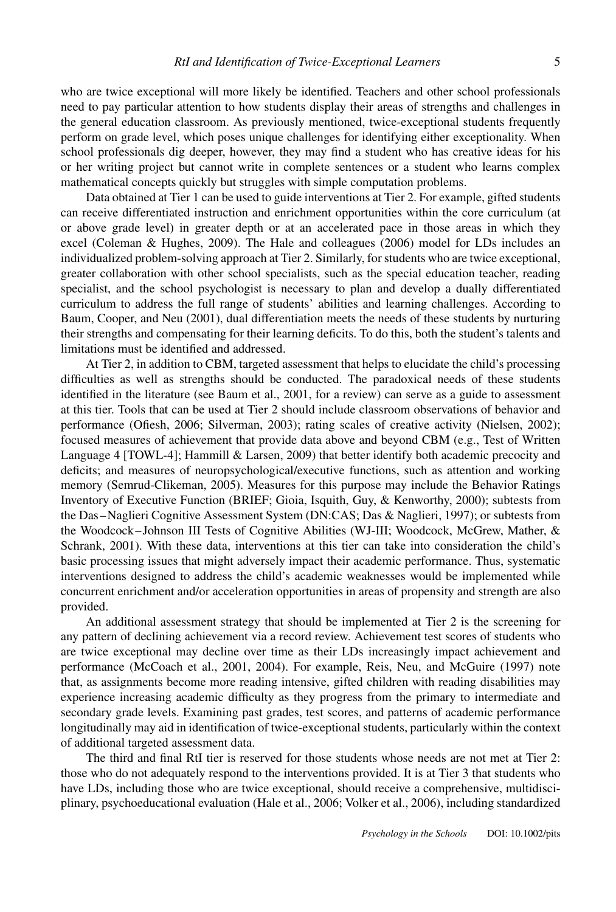who are twice exceptional will more likely be identified. Teachers and other school professionals need to pay particular attention to how students display their areas of strengths and challenges in the general education classroom. As previously mentioned, twice-exceptional students frequently perform on grade level, which poses unique challenges for identifying either exceptionality. When school professionals dig deeper, however, they may find a student who has creative ideas for his or her writing project but cannot write in complete sentences or a student who learns complex mathematical concepts quickly but struggles with simple computation problems.

Data obtained at Tier 1 can be used to guide interventions at Tier 2. For example, gifted students can receive differentiated instruction and enrichment opportunities within the core curriculum (at or above grade level) in greater depth or at an accelerated pace in those areas in which they excel (Coleman & Hughes, 2009). The Hale and colleagues (2006) model for LDs includes an individualized problem-solving approach at Tier 2. Similarly, for students who are twice exceptional, greater collaboration with other school specialists, such as the special education teacher, reading specialist, and the school psychologist is necessary to plan and develop a dually differentiated curriculum to address the full range of students' abilities and learning challenges. According to Baum, Cooper, and Neu (2001), dual differentiation meets the needs of these students by nurturing their strengths and compensating for their learning deficits. To do this, both the student's talents and limitations must be identified and addressed.

At Tier 2, in addition to CBM, targeted assessment that helps to elucidate the child's processing difficulties as well as strengths should be conducted. The paradoxical needs of these students identified in the literature (see Baum et al., 2001, for a review) can serve as a guide to assessment at this tier. Tools that can be used at Tier 2 should include classroom observations of behavior and performance (Ofiesh, 2006; Silverman, 2003); rating scales of creative activity (Nielsen, 2002); focused measures of achievement that provide data above and beyond CBM (e.g., Test of Written Language 4 [TOWL-4]; Hammill & Larsen, 2009) that better identify both academic precocity and deficits; and measures of neuropsychological/executive functions, such as attention and working memory (Semrud-Clikeman, 2005). Measures for this purpose may include the Behavior Ratings Inventory of Executive Function (BRIEF; Gioia, Isquith, Guy, & Kenworthy, 2000); subtests from the Das –Naglieri Cognitive Assessment System (DN:CAS; Das & Naglieri, 1997); or subtests from the Woodcock– Johnson III Tests of Cognitive Abilities (WJ-III; Woodcock, McGrew, Mather, & Schrank, 2001). With these data, interventions at this tier can take into consideration the child's basic processing issues that might adversely impact their academic performance. Thus, systematic interventions designed to address the child's academic weaknesses would be implemented while concurrent enrichment and/or acceleration opportunities in areas of propensity and strength are also provided.

An additional assessment strategy that should be implemented at Tier 2 is the screening for any pattern of declining achievement via a record review. Achievement test scores of students who are twice exceptional may decline over time as their LDs increasingly impact achievement and performance (McCoach et al., 2001, 2004). For example, Reis, Neu, and McGuire (1997) note that, as assignments become more reading intensive, gifted children with reading disabilities may experience increasing academic difficulty as they progress from the primary to intermediate and secondary grade levels. Examining past grades, test scores, and patterns of academic performance longitudinally may aid in identification of twice-exceptional students, particularly within the context of additional targeted assessment data.

The third and final RtI tier is reserved for those students whose needs are not met at Tier 2: those who do not adequately respond to the interventions provided. It is at Tier 3 that students who have LDs, including those who are twice exceptional, should receive a comprehensive, multidisciplinary, psychoeducational evaluation (Hale et al., 2006; Volker et al., 2006), including standardized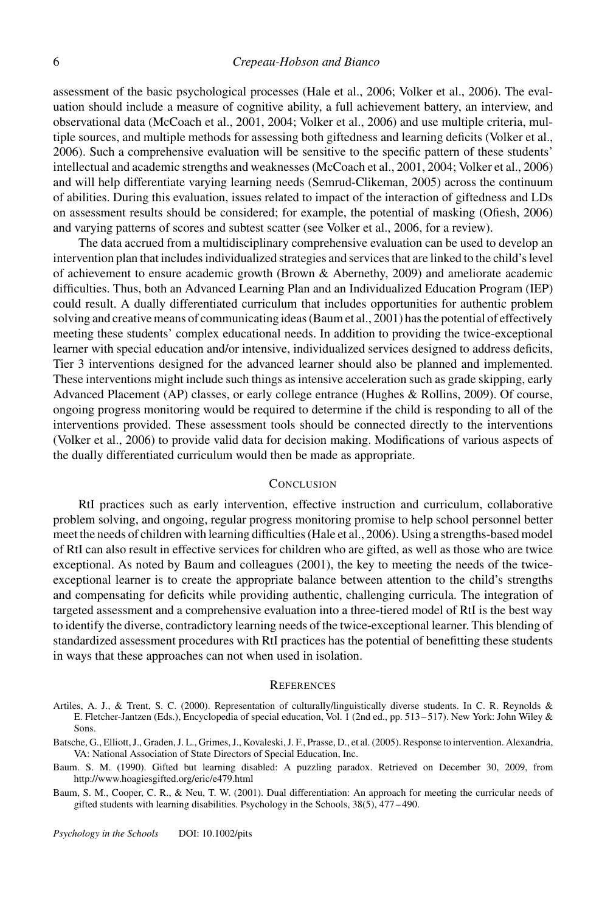assessment of the basic psychological processes (Hale et al., 2006; Volker et al., 2006). The evaluation should include a measure of cognitive ability, a full achievement battery, an interview, and observational data (McCoach et al., 2001, 2004; Volker et al., 2006) and use multiple criteria, multiple sources, and multiple methods for assessing both giftedness and learning deficits (Volker et al., 2006). Such a comprehensive evaluation will be sensitive to the specific pattern of these students' intellectual and academic strengths and weaknesses (McCoach et al., 2001, 2004; Volker et al., 2006) and will help differentiate varying learning needs (Semrud-Clikeman, 2005) across the continuum of abilities. During this evaluation, issues related to impact of the interaction of giftedness and LDs on assessment results should be considered; for example, the potential of masking (Ofiesh, 2006) and varying patterns of scores and subtest scatter (see Volker et al., 2006, for a review).

The data accrued from a multidisciplinary comprehensive evaluation can be used to develop an intervention plan that includes individualized strategies and services that are linked to the child's level of achievement to ensure academic growth (Brown & Abernethy, 2009) and ameliorate academic difficulties. Thus, both an Advanced Learning Plan and an Individualized Education Program (IEP) could result. A dually differentiated curriculum that includes opportunities for authentic problem solving and creative means of communicating ideas (Baum et al., 2001) has the potential of effectively meeting these students' complex educational needs. In addition to providing the twice-exceptional learner with special education and/or intensive, individualized services designed to address deficits, Tier 3 interventions designed for the advanced learner should also be planned and implemented. These interventions might include such things as intensive acceleration such as grade skipping, early Advanced Placement (AP) classes, or early college entrance (Hughes & Rollins, 2009). Of course, ongoing progress monitoring would be required to determine if the child is responding to all of the interventions provided. These assessment tools should be connected directly to the interventions (Volker et al., 2006) to provide valid data for decision making. Modifications of various aspects of the dually differentiated curriculum would then be made as appropriate.

### **CONCLUSION**

RtI practices such as early intervention, effective instruction and curriculum, collaborative problem solving, and ongoing, regular progress monitoring promise to help school personnel better meet the needs of children with learning difficulties (Hale et al., 2006). Using a strengths-based model of RtI can also result in effective services for children who are gifted, as well as those who are twice exceptional. As noted by Baum and colleagues (2001), the key to meeting the needs of the twiceexceptional learner is to create the appropriate balance between attention to the child's strengths and compensating for deficits while providing authentic, challenging curricula. The integration of targeted assessment and a comprehensive evaluation into a three-tiered model of RtI is the best way to identify the diverse, contradictory learning needs of the twice-exceptional learner. This blending of standardized assessment procedures with RtI practices has the potential of benefitting these students in ways that these approaches can not when used in isolation.

#### **REFERENCES**

Artiles, A. J., & Trent, S. C. (2000). Representation of culturally/linguistically diverse students. In C. R. Reynolds & E. Fletcher-Jantzen (Eds.), Encyclopedia of special education, Vol. 1 (2nd ed., pp. 513 – 517). New York: John Wiley & Sons.

Batsche, G., Elliott, J., Graden, J. L., Grimes, J., Kovaleski, J. F., Prasse, D., et al. (2005). Response to intervention. Alexandria, VA: National Association of State Directors of Special Education, Inc.

- Baum. S. M. (1990). Gifted but learning disabled: A puzzling paradox. Retrieved on December 30, 2009, from http://www.hoagiesgifted.org/eric/e479.html
- Baum, S. M., Cooper, C. R., & Neu, T. W. (2001). Dual differentiation: An approach for meeting the curricular needs of gifted students with learning disabilities. Psychology in the Schools, 38(5), 477 – 490.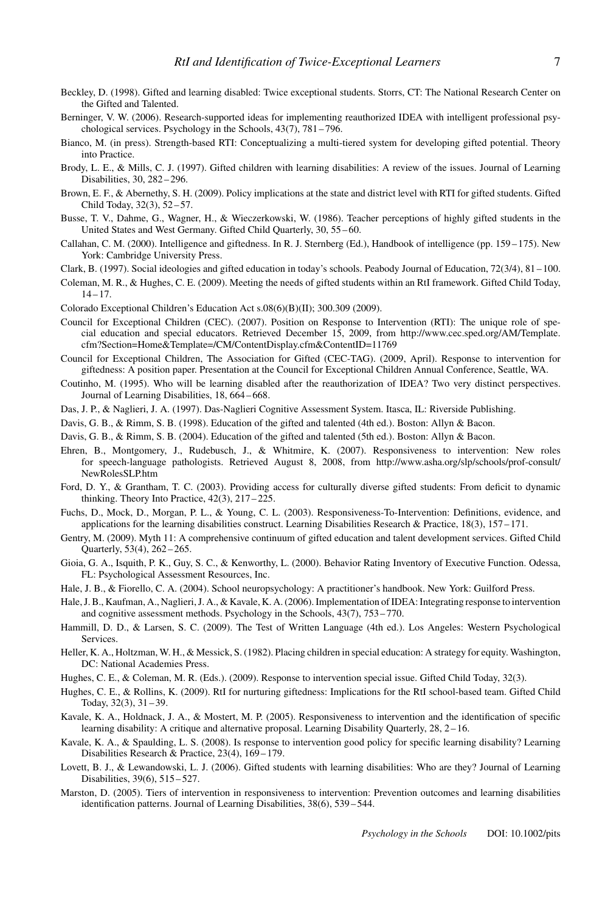- Beckley, D. (1998). Gifted and learning disabled: Twice exceptional students. Storrs, CT: The National Research Center on the Gifted and Talented.
- Berninger, V. W. (2006). Research-supported ideas for implementing reauthorized IDEA with intelligent professional psychological services. Psychology in the Schools, 43(7), 781 – 796.
- Bianco, M. (in press). Strength-based RTI: Conceptualizing a multi-tiered system for developing gifted potential. Theory into Practice.
- Brody, L. E., & Mills, C. J. (1997). Gifted children with learning disabilities: A review of the issues. Journal of Learning Disabilities, 30, 282 – 296.
- Brown, E. F., & Abernethy, S. H. (2009). Policy implications at the state and district level with RTI for gifted students. Gifted Child Today, 32(3), 52 – 57.
- Busse, T. V., Dahme, G., Wagner, H., & Wieczerkowski, W. (1986). Teacher perceptions of highly gifted students in the United States and West Germany. Gifted Child Quarterly, 30, 55 – 60.
- Callahan, C. M. (2000). Intelligence and giftedness. In R. J. Sternberg (Ed.), Handbook of intelligence (pp. 159 175). New York: Cambridge University Press.
- Clark, B. (1997). Social ideologies and gifted education in today's schools. Peabody Journal of Education, 72(3/4), 81 100.
- Coleman, M. R., & Hughes, C. E. (2009). Meeting the needs of gifted students within an RtI framework. Gifted Child Today,  $14 - 17.$
- Colorado Exceptional Children's Education Act s.08(6)(B)(II); 300.309 (2009).
- Council for Exceptional Children (CEC). (2007). Position on Response to Intervention (RTI): The unique role of special education and special educators. Retrieved December 15, 2009, from http://www.cec.sped.org/AM/Template. cfm?Section=Home&Template=/CM/ContentDisplay.cfm&ContentID=11769
- Council for Exceptional Children, The Association for Gifted (CEC-TAG). (2009, April). Response to intervention for giftedness: A position paper. Presentation at the Council for Exceptional Children Annual Conference, Seattle, WA.
- Coutinho, M. (1995). Who will be learning disabled after the reauthorization of IDEA? Two very distinct perspectives. Journal of Learning Disabilities, 18, 664 – 668.
- Das, J. P., & Naglieri, J. A. (1997). Das-Naglieri Cognitive Assessment System. Itasca, IL: Riverside Publishing.
- Davis, G. B., & Rimm, S. B. (1998). Education of the gifted and talented (4th ed.). Boston: Allyn & Bacon.
- Davis, G. B., & Rimm, S. B. (2004). Education of the gifted and talented (5th ed.). Boston: Allyn & Bacon.
- Ehren, B., Montgomery, J., Rudebusch, J., & Whitmire, K. (2007). Responsiveness to intervention: New roles for speech-language pathologists. Retrieved August 8, 2008, from http://www.asha.org/slp/schools/prof-consult/ NewRolesSLP.htm
- Ford, D. Y., & Grantham, T. C. (2003). Providing access for culturally diverse gifted students: From deficit to dynamic thinking. Theory Into Practice, 42(3), 217 – 225.
- Fuchs, D., Mock, D., Morgan, P. L., & Young, C. L. (2003). Responsiveness-To-Intervention: Definitions, evidence, and applications for the learning disabilities construct. Learning Disabilities Research & Practice, 18(3), 157 – 171.
- Gentry, M. (2009). Myth 11: A comprehensive continuum of gifted education and talent development services. Gifted Child Quarterly, 53(4), 262 – 265.
- Gioia, G. A., Isquith, P. K., Guy, S. C., & Kenworthy, L. (2000). Behavior Rating Inventory of Executive Function. Odessa, FL: Psychological Assessment Resources, Inc.
- Hale, J. B., & Fiorello, C. A. (2004). School neuropsychology: A practitioner's handbook. New York: Guilford Press.
- Hale, J. B., Kaufman, A., Naglieri, J. A., & Kavale, K. A. (2006). Implementation of IDEA: Integrating response to intervention and cognitive assessment methods. Psychology in the Schools, 43(7), 753 – 770.
- Hammill, D. D., & Larsen, S. C. (2009). The Test of Written Language (4th ed.). Los Angeles: Western Psychological Services.
- Heller, K. A., Holtzman, W. H., & Messick, S. (1982). Placing children in special education: A strategy for equity. Washington, DC: National Academies Press.
- Hughes, C. E., & Coleman, M. R. (Eds.). (2009). Response to intervention special issue. Gifted Child Today, 32(3).
- Hughes, C. E., & Rollins, K. (2009). RtI for nurturing giftedness: Implications for the RtI school-based team. Gifted Child Today, 32(3), 31 – 39.
- Kavale, K. A., Holdnack, J. A., & Mostert, M. P. (2005). Responsiveness to intervention and the identification of specific learning disability: A critique and alternative proposal. Learning Disability Quarterly, 28, 2 – 16.
- Kavale, K. A., & Spaulding, L. S. (2008). Is response to intervention good policy for specific learning disability? Learning Disabilities Research & Practice, 23(4), 169 – 179.
- Lovett, B. J., & Lewandowski, L. J. (2006). Gifted students with learning disabilities: Who are they? Journal of Learning Disabilities, 39(6), 515 – 527.
- Marston, D. (2005). Tiers of intervention in responsiveness to intervention: Prevention outcomes and learning disabilities identification patterns. Journal of Learning Disabilities, 38(6), 539 – 544.